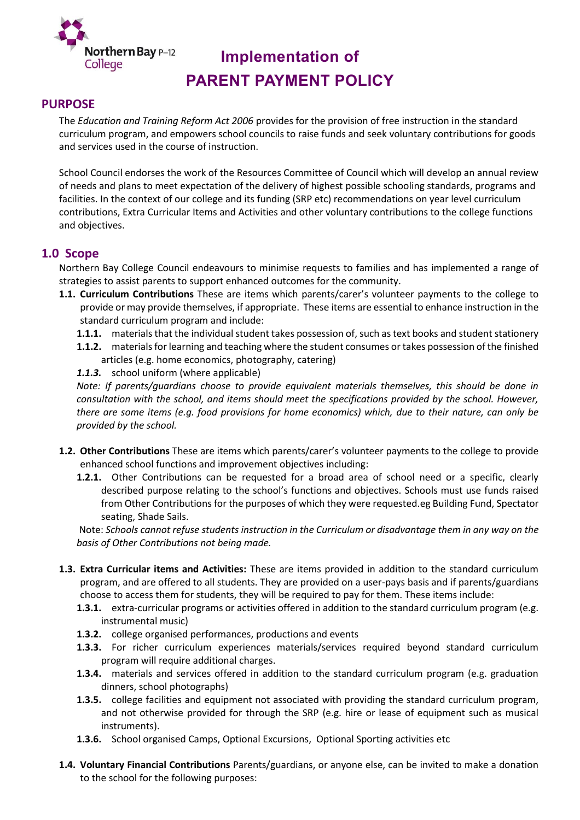

# **Implementation of PARENT PAYMENT POLICY**

## **PURPOSE**

The *Education and Training Reform Act 2006* provides for the provision of free instruction in the standard curriculum program, and empowers school councils to raise funds and seek voluntary contributions for goods and services used in the course of instruction.

School Council endorses the work of the Resources Committee of Council which will develop an annual review of needs and plans to meet expectation of the delivery of highest possible schooling standards, programs and facilities. In the context of our college and its funding (SRP etc) recommendations on year level curriculum contributions, Extra Curricular Items and Activities and other voluntary contributions to the college functions and objectives.

## **1.0 Scope**

Northern Bay College Council endeavours to minimise requests to families and has implemented a range of strategies to assist parents to support enhanced outcomes for the community.

- **1.1. Curriculum Contributions** These are items which parents/carer's volunteer payments to the college to provide or may provide themselves, if appropriate. These items are essential to enhance instruction in the standard curriculum program and include:
	- **1.1.1.** materials that the individual student takes possession of, such as text books and student stationery
	- **1.1.2.** materials for learning and teaching where the student consumes or takes possession of the finished articles (e.g. home economics, photography, catering)

*1.1.3.* school uniform (where applicable)

*Note: If parents/guardians choose to provide equivalent materials themselves, this should be done in consultation with the school, and items should meet the specifications provided by the school. However, there are some items (e.g. food provisions for home economics) which, due to their nature, can only be provided by the school.*

- **1.2. Other Contributions** These are items which parents/carer's volunteer payments to the college to provide enhanced school functions and improvement objectives including:
	- **1.2.1.** Other Contributions can be requested for a broad area of school need or a specific, clearly described purpose relating to the school's functions and objectives. Schools must use funds raised from Other Contributions for the purposes of which they were requested.eg Building Fund, Spectator seating, Shade Sails.

Note: *Schools cannot refuse students instruction in the Curriculum or disadvantage them in any way on the basis of Other Contributions not being made.*

- **1.3. Extra Curricular items and Activities:** These are items provided in addition to the standard curriculum program, and are offered to all students. They are provided on a user-pays basis and if parents/guardians choose to access them for students, they will be required to pay for them. These items include:
	- **1.3.1.** extra-curricular programs or activities offered in addition to the standard curriculum program (e.g. instrumental music)
	- **1.3.2.** college organised performances, productions and events
	- **1.3.3.** For richer curriculum experiences materials/services required beyond standard curriculum program will require additional charges.
	- **1.3.4.** materials and services offered in addition to the standard curriculum program (e.g. graduation dinners, school photographs)
	- **1.3.5.** college facilities and equipment not associated with providing the standard curriculum program, and not otherwise provided for through the SRP (e.g. hire or lease of equipment such as musical instruments).
	- **1.3.6.** School organised Camps, Optional Excursions, Optional Sporting activities etc
- **1.4. Voluntary Financial Contributions** Parents/guardians, or anyone else, can be invited to make a donation to the school for the following purposes: